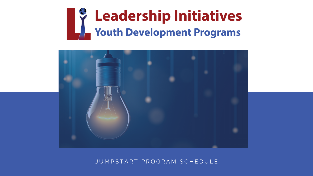# **Leadership Initiatives**<br>
Youth Development Programs



# JUMPSTART PROGRAM SCHEDULE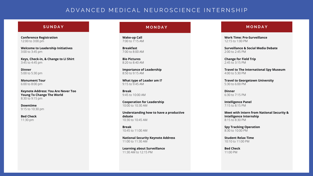#### **S U N D A Y**

#### **M O N D A Y M O N D A Y**

**Conference Registration** 12:00 to 3:00 pm

**Welcome to Leadership Initiatives** 3:00 to 3:45 pm

**Keys, Check-in, & Change to LI Shirt** 3:45 to 4:45 pm

**Dinner** 5:00 to 5:30 pm

**Monument Tour** 6:00 to 8:00 pm

**Keynote Address: You Are Never Too Young To Change The World** 8:30 to 9:15 pm

**Downtime** 9:15 to 10:30 pm

**Bed Check** 11:30 pm

**Wake-up Call** 7:00 to 7:15 AM

**Breakfast** 7:00 to 8:00 AM

**Bio Pictures** 8:20 to 8:40 AM

**Importance of Leadership** 8:50 to 9:15 AM

**What type of Leader am I?** 9:15 to 9:45 AM

**Break** 9:45 to 10:00 AM

**Cooperation for Leadership** 10:00 to 10:30 AM

**Understanding how to have a productive debate** 10:30 to 10:45 AM

**Break** 10:45 to 11:00 AM

**National Security Keynote Address** 11:00 to 11:30 AM

**Learning about Surveillance** 11:30 AM to 12:15 PM

**Work Time: Pro-Surveillance** 12:15 to 1:00 PM

**Surveillance & Social Media Debate** 2:00 to 2:45 PM

**Change for Field Trip** 2:45 to 3:15 PM

**Travel to The International Spy Museum** 4:00 to 5:30 PM

**Travel to Georgetown University** 5:30 to 6:00 PM

**Dinner** 6:30 to 7:15 PM

**Intelligence Panel** 7:15 to 8:15 PM

**Meet with Intern from National Security & Intelligence Internship** 8:15 to 8:30 PM

**Spy Tracking Operation** 8:30 to 10:00 PM

**Student Relax Time** 10:10 to 11:00 PM

**Bed Check** 11:00 PM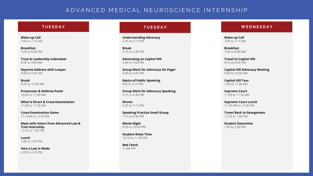#### **T U E S D A Y**

#### **W E D N E S D A Y**

**Wake-up Call** 7:00 to 7:15 AM

**Breakfast** 7:00 to 8:00 AM

**Trust & Leadership Icebreaker** 8:30 to 9:00 AM

**Keynote Address with Lawyer** 9:00 to 9:45 AM

**Break** 9:45 to 10:00 AM

**Prosecutor & Defense Panel** 10:00 to 11:00 AM

**What is Direct & Cross-Examination** 11:00 to 11:30 AM

**Cross-Examination Game** 11:3 AM to 12:45 PM

**Meet with Intern from Advanced Law & Trial Internship** 12:45 to 1:00 PM

**Lunch** 1:00 to 1:45 PM

**How a Law is Made** 2:00 to 2:45 PM

**Understanding Advocacy** 2:45 to 3:15 PM

**Break** 3:15 to 3:30 PM

**Advocating on Capitol Hill** 3:30 to 4:00 PM

**Group Work for Advocacy On Pager** 4:00 to 4:45 PM

**Basics of Public Speaking** 445 to 5:15 PM

**Group Work for Advocacy Speaking** 5:15 to 6:30 PM

**Dinner** 6:30 to 7:15 PM

**Speaking Practice Small Group** 7:15 to 8:30 PM

**Movie Night** 8:30 to 10:00 PM

**Student Relax Time** 10:10 to 11:00 PM

**Bed Check** 11:00 PM

#### **T U E S D A Y**

**Wake-up Call** 7:00 to 7:15 AM

**Breakfast** 7:00 to 8:00 AM

**Travel to Capitol Hill** 8:15 to 8:45 PM

**Capitol Hill Advocacy Meeting** 9:00 to 10:00 AM

**Capitol Hill Tour** 1:00 to 11:00 AM

**Supreme Court** 11:00 to 11:30 AM

**Supreme Court Lunch** 11:30 AM to 12:30 PM

**Travel Back to Georgetown** 12:30 to 1:00 PM

**Student Downtime** 1:00 to 2:00 PM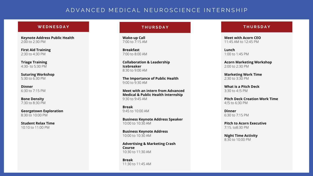#### **W E D N E S D A Y**

#### **T H U R S D A Y**

**Wake-up Call** 7:00 to 7:15 AM

**Breakfast** 7:00 to 8:00 AM

**Collaboration & Leadership Icebreaker** 8:30 to 9:00 AM

**The Importance of Public Health** 9:00 to 9:30 AM

**Meet with an intern from Advanced Medical & Public Health Internship** 9:30 to 9:45 AM

**Break** 9:45 to 10:00 AM

**Business Keynote Address Speaker** 10:00 to 10:30 AM

**Business Keynote Address** 10:00 to 10:30 AM

**Advertising & Marketing Crash Course** 10:30 to 11:30 AM

**Break** 11:30 to 11:45 AM **Meet with Acorn CEO** 11:45 AM to 12:45 PM

**Lunch** 1:00 to 1:45 PM

**Acorn Marketing Workshop** 2:00 to 2:30 PM

**Marketing Work Time** 2:30 to 3:30 PM

**What is a Pitch Deck** 3:30 to 4:!5 PM

**Pitch Deck Creation Work Time** 4:!5 to 6:30 PM

**Dinner** 6:30 to 7:15 PM

**Pitch to Acorn Executive** 7:15. to8:30 PM

**Night Time Activity** 8:30 to 10:00 PM

#### **T H U R S D A Y**

**Keynote Address Public Health** 2:00 to 2:30 PM

**First Aid Training** 2:30 to 4:30 PM

**Triage Training** 4:30- to 5:30 PM

**Suturing Workshop** 5:30 to 6:30 PM

**Dinner** 6:30 to 7:15 PM

**Bone Density** 7:30 to 8:30 PM

**Georgetown Exploration** 8:30 to 10:00 PM

**Student Relax Time** 10:10 to 11:00 PM